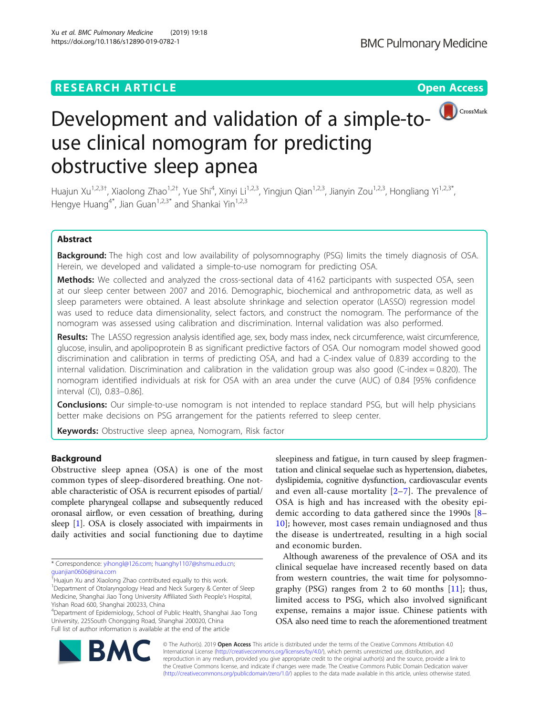

# Development and validation of a simple-touse clinical nomogram for predicting obstructive sleep apnea

Huajun Xu<sup>1,2,3†</sup>, Xiaolong Zhao<sup>1,2†</sup>, Yue Shi<sup>4</sup>, Xinyi Li<sup>1,2,3</sup>, Yingjun Qian<sup>1,2,3</sup>, Jianyin Zou<sup>1,2,3</sup>, Hongliang Yi<sup>1,2,3\*</sup>, Hengye Huang<sup>4\*</sup>, Jian Guan<sup>1,2,3\*</sup> and Shankai Yin<sup>1,2,3</sup>

# Abstract

**Background:** The high cost and low availability of polysomnography (PSG) limits the timely diagnosis of OSA. Herein, we developed and validated a simple-to-use nomogram for predicting OSA.

Methods: We collected and analyzed the cross-sectional data of 4162 participants with suspected OSA, seen at our sleep center between 2007 and 2016. Demographic, biochemical and anthropometric data, as well as sleep parameters were obtained. A least absolute shrinkage and selection operator (LASSO) regression model was used to reduce data dimensionality, select factors, and construct the nomogram. The performance of the nomogram was assessed using calibration and discrimination. Internal validation was also performed.

Results: The LASSO regression analysis identified age, sex, body mass index, neck circumference, waist circumference, glucose, insulin, and apolipoprotein B as significant predictive factors of OSA. Our nomogram model showed good discrimination and calibration in terms of predicting OSA, and had a C-index value of 0.839 according to the internal validation. Discrimination and calibration in the validation group was also good (C-index = 0.820). The nomogram identified individuals at risk for OSA with an area under the curve (AUC) of 0.84 [95% confidence interval (CI), 0.83–0.86].

**Conclusions:** Our simple-to-use nomogram is not intended to replace standard PSG, but will help physicians better make decisions on PSG arrangement for the patients referred to sleep center.

**Keywords:** Obstructive sleep apnea, Nomogram, Risk factor

# Background

Obstructive sleep apnea (OSA) is one of the most common types of sleep-disordered breathing. One notable characteristic of OSA is recurrent episodes of partial/ complete pharyngeal collapse and subsequently reduced oronasal airflow, or even cessation of breathing, during sleep [[1\]](#page-7-0). OSA is closely associated with impairments in daily activities and social functioning due to daytime

\* Correspondence: [yihongl@126.com;](mailto:yihongl@126.com) [huanghy1107@shsmu.edu.cn](mailto:huanghy1107@shsmu.edu.cn); [guanjian0606@sina.com](mailto:guanjian0606@sina.com)

† Huajun Xu and Xiaolong Zhao contributed equally to this work.

<sup>1</sup>Department of Otolaryngology Head and Neck Surgery & Center of Sleep Medicine, Shanghai Jiao Tong University Affiliated Sixth People's Hospital, Yishan Road 600, Shanghai 200233, China

4 Department of Epidemiology, School of Public Health, Shanghai Jiao Tong University, 225South Chongqing Road, Shanghai 200020, China Full list of author information is available at the end of the article

sleepiness and fatigue, in turn caused by sleep fragmentation and clinical sequelae such as hypertension, diabetes, dyslipidemia, cognitive dysfunction, cardiovascular events and even all-cause mortality  $[2-7]$  $[2-7]$  $[2-7]$  $[2-7]$  $[2-7]$ . The prevalence of OSA is high and has increased with the obesity epidemic according to data gathered since the 1990s [[8](#page-7-0)– [10\]](#page-7-0); however, most cases remain undiagnosed and thus the disease is undertreated, resulting in a high social and economic burden.

Although awareness of the prevalence of OSA and its clinical sequelae have increased recently based on data from western countries, the wait time for polysomnography (PSG) ranges from 2 to 60 months [\[11](#page-7-0)]; thus, limited access to PSG, which also involved significant expense, remains a major issue. Chinese patients with OSA also need time to reach the aforementioned treatment



© The Author(s). 2019 **Open Access** This article is distributed under the terms of the Creative Commons Attribution 4.0 International License [\(http://creativecommons.org/licenses/by/4.0/](http://creativecommons.org/licenses/by/4.0/)), which permits unrestricted use, distribution, and reproduction in any medium, provided you give appropriate credit to the original author(s) and the source, provide a link to the Creative Commons license, and indicate if changes were made. The Creative Commons Public Domain Dedication waiver [\(http://creativecommons.org/publicdomain/zero/1.0/](http://creativecommons.org/publicdomain/zero/1.0/)) applies to the data made available in this article, unless otherwise stated.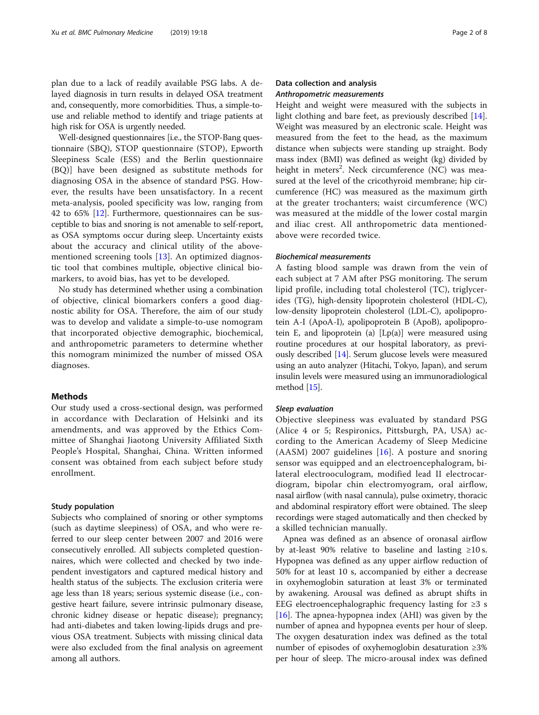plan due to a lack of readily available PSG labs. A delayed diagnosis in turn results in delayed OSA treatment and, consequently, more comorbidities. Thus, a simple-touse and reliable method to identify and triage patients at high risk for OSA is urgently needed.

Well-designed questionnaires [i.e., the STOP-Bang questionnaire (SBQ), STOP questionnaire (STOP), Epworth Sleepiness Scale (ESS) and the Berlin questionnaire (BQ)] have been designed as substitute methods for diagnosing OSA in the absence of standard PSG. However, the results have been unsatisfactory. In a recent meta-analysis, pooled specificity was low, ranging from 42 to 65% [[12](#page-7-0)]. Furthermore, questionnaires can be susceptible to bias and snoring is not amenable to self-report, as OSA symptoms occur during sleep. Uncertainty exists about the accuracy and clinical utility of the abovementioned screening tools [[13\]](#page-7-0). An optimized diagnostic tool that combines multiple, objective clinical biomarkers, to avoid bias, has yet to be developed.

No study has determined whether using a combination of objective, clinical biomarkers confers a good diagnostic ability for OSA. Therefore, the aim of our study was to develop and validate a simple-to-use nomogram that incorporated objective demographic, biochemical, and anthropometric parameters to determine whether this nomogram minimized the number of missed OSA diagnoses.

#### Methods

Our study used a cross-sectional design, was performed in accordance with Declaration of Helsinki and its amendments, and was approved by the Ethics Committee of Shanghai Jiaotong University Affiliated Sixth People's Hospital, Shanghai, China. Written informed consent was obtained from each subject before study enrollment.

#### Study population

Subjects who complained of snoring or other symptoms (such as daytime sleepiness) of OSA, and who were referred to our sleep center between 2007 and 2016 were consecutively enrolled. All subjects completed questionnaires, which were collected and checked by two independent investigators and captured medical history and health status of the subjects. The exclusion criteria were age less than 18 years; serious systemic disease (i.e., congestive heart failure, severe intrinsic pulmonary disease, chronic kidney disease or hepatic disease); pregnancy; had anti-diabetes and taken lowing-lipids drugs and previous OSA treatment. Subjects with missing clinical data were also excluded from the final analysis on agreement among all authors.

# Data collection and analysis Anthropometric measurements

Height and weight were measured with the subjects in light clothing and bare feet, as previously described [\[14](#page-7-0)]. Weight was measured by an electronic scale. Height was measured from the feet to the head, as the maximum distance when subjects were standing up straight. Body mass index (BMI) was defined as weight (kg) divided by height in meters<sup>2</sup>. Neck circumference (NC) was measured at the level of the cricothyroid membrane; hip circumference (HC) was measured as the maximum girth at the greater trochanters; waist circumference (WC) was measured at the middle of the lower costal margin and iliac crest. All anthropometric data mentionedabove were recorded twice.

#### Biochemical measurements

A fasting blood sample was drawn from the vein of each subject at 7 AM after PSG monitoring. The serum lipid profile, including total cholesterol (TC), triglycerides (TG), high-density lipoprotein cholesterol (HDL-C), low-density lipoprotein cholesterol (LDL-C), apolipoprotein A-I (ApoA-I), apolipoprotein B (ApoB), apolipoprotein E, and lipoprotein (a)  $[Lp(a)]$  were measured using routine procedures at our hospital laboratory, as previously described [[14](#page-7-0)]. Serum glucose levels were measured using an auto analyzer (Hitachi, Tokyo, Japan), and serum insulin levels were measured using an immunoradiological method [\[15\]](#page-7-0).

## Sleep evaluation

Objective sleepiness was evaluated by standard PSG (Alice 4 or 5; Respironics, Pittsburgh, PA, USA) according to the American Academy of Sleep Medicine  $(AASM)$  2007 guidelines [\[16\]](#page-7-0). A posture and snoring sensor was equipped and an electroencephalogram, bilateral electrooculogram, modified lead II electrocardiogram, bipolar chin electromyogram, oral airflow, nasal airflow (with nasal cannula), pulse oximetry, thoracic and abdominal respiratory effort were obtained. The sleep recordings were staged automatically and then checked by a skilled technician manually.

Apnea was defined as an absence of oronasal airflow by at-least 90% relative to baseline and lasting  $\geq 10$  s. Hypopnea was defined as any upper airflow reduction of 50% for at least 10 s, accompanied by either a decrease in oxyhemoglobin saturation at least 3% or terminated by awakening. Arousal was defined as abrupt shifts in EEG electroencephalographic frequency lasting for  $\geq 3$  s [[16\]](#page-7-0). The apnea-hypopnea index (AHI) was given by the number of apnea and hypopnea events per hour of sleep. The oxygen desaturation index was defined as the total number of episodes of oxyhemoglobin desaturation ≥3% per hour of sleep. The micro-arousal index was defined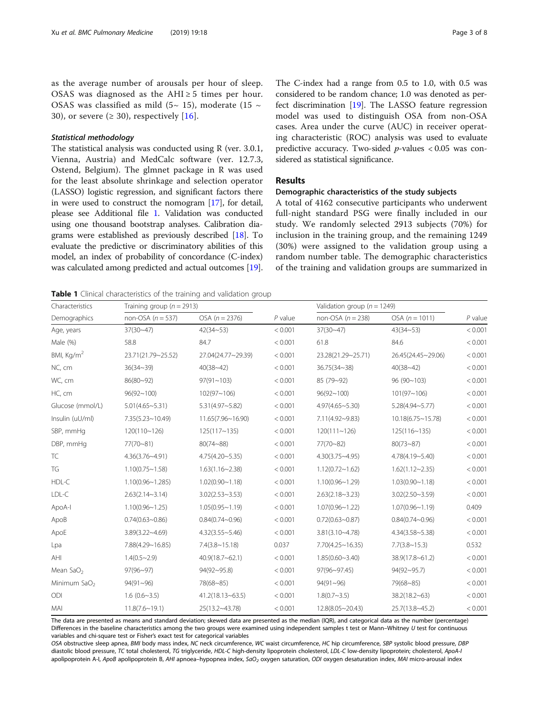<span id="page-2-0"></span>as the average number of arousals per hour of sleep. OSAS was diagnosed as the AHI  $\geq$  5 times per hour. OSAS was classified as mild (5~ 15), moderate (15 ~ 30), or severe ( $\geq$  30), respectively [[16](#page-7-0)].

## Statistical methodology

The statistical analysis was conducted using R (ver. 3.0.1, Vienna, Austria) and MedCalc software (ver. 12.7.3, Ostend, Belgium). The glmnet package in R was used for the least absolute shrinkage and selection operator (LASSO) logistic regression, and significant factors there in were used to construct the nomogram [\[17\]](#page-7-0), for detail, please see Additional file [1.](#page-6-0) Validation was conducted using one thousand bootstrap analyses. Calibration diagrams were established as previously described [[18](#page-7-0)]. To evaluate the predictive or discriminatory abilities of this model, an index of probability of concordance (C-index) was calculated among predicted and actual outcomes [[19](#page-7-0)]. The C-index had a range from 0.5 to 1.0, with 0.5 was considered to be random chance; 1.0 was denoted as perfect discrimination [\[19](#page-7-0)]. The LASSO feature regression model was used to distinguish OSA from non-OSA cases. Area under the curve (AUC) in receiver operating characteristic (ROC) analysis was used to evaluate predictive accuracy. Two-sided  $p$ -values < 0.05 was considered as statistical significance.

## Results

## Demographic characteristics of the study subjects

A total of 4162 consecutive participants who underwent full-night standard PSG were finally included in our study. We randomly selected 2913 subjects (70%) for inclusion in the training group, and the remaining 1249 (30%) were assigned to the validation group using a random number table. The demographic characteristics of the training and validation groups are summarized in

Table 1 Clinical characteristics of the training and validation group

| Characteristics<br>Demographics | Training group ( $n = 2913$ ) |                      |           | Validation group ( $n = 1249$ ) |                          |           |
|---------------------------------|-------------------------------|----------------------|-----------|---------------------------------|--------------------------|-----------|
|                                 | non-OSA $(n = 537)$           | $OSA (n = 2376)$     | $P$ value | non-OSA $(n = 238)$             | $OSA (n = 1011)$         | $P$ value |
| Age, years                      | $37(30-47)$                   | $42(34-53)$          | < 0.001   | $37(30-47)$                     | $43(34 - 53)$            | < 0.001   |
| Male (%)                        | 58.8                          | 84.7                 | < 0.001   | 61.8                            | 84.6                     | < 0.001   |
| BMI, Kg/m <sup>2</sup>          | 23.71(21.79~25.52)            | 27.04(24.77~29.39)   | < 0.001   | 23.28(21.29~25.71)              | 26.45(24.45~29.06)       | < 0.001   |
| NC, cm                          | $36(34-39)$                   | $40(38 - 42)$        | < 0.001   | 36.75(34~38)                    | $40(38 - 42)$            | < 0.001   |
| WC, cm                          | $86(80-92)$                   | $97(91 - 103)$       | < 0.001   | 85 (79~92)                      | 96(90~103)               | < 0.001   |
| HC, cm                          | 96(92~100)                    | 102(97~106)          | < 0.001   | 96(92~100)                      | 101(97~106)              | < 0.001   |
| Glucose (mmol/L)                | $5.01(4.65 - 5.31)$           | $5.31(4.97 - 5.82)$  | < 0.001   | $4.97(4.65 - 5.30)$             | $5.28(4.94 - 5.77)$      | < 0.001   |
| Insulin (uU/ml)                 | $7.35(5.23 \sim 10.49)$       | 11.65(7.96~16.90)    | < 0.001   | 7.11(4.92~9.83)                 | $10.18(6.75 \sim 15.78)$ | < 0.001   |
| SBP, mmHq                       | 120(110~126)                  | 125(117~135)         | < 0.001   | $120(111 - 126)$                | 125(116~135)             | < 0.001   |
| DBP, mmHq                       | $77(70 - 81)$                 | $80(74 - 88)$        | < 0.001   | $77(70 - 82)$                   | $80(73-87)$              | < 0.001   |
| TC                              | 4.36(3.76~4.91)               | $4.75(4.20 - 5.35)$  | < 0.001   | $4.30(3.75 - 4.95)$             | 4.78(4.19~5.40)          | < 0.001   |
| TG                              | $1.10(0.75 - 1.58)$           | 1.63(1.16~2.38)      | < 0.001   | $1.12(0.72 - 1.62)$             | $1.62(1.12 \sim 2.35)$   | < 0.001   |
| HDL-C                           | $1.10(0.96 - 1.285)$          | $1.02(0.90 - 1.18)$  | < 0.001   | $1.10(0.96 - 1.29)$             | $1.03(0.90 - 1.18)$      | < 0.001   |
| LDL-C                           | 2.63(2.14~3.14)               | $3.02(2.53 - 3.53)$  | < 0.001   | $2.63(2.18-3.23)$               | $3.02(2.50-3.59)$        | < 0.001   |
| ApoA-l                          | $1.10(0.96 \sim 1.25)$        | $1.05(0.95 - 1.19)$  | < 0.001   | $1.07(0.96 - 1.22)$             | $1.07(0.96 - 1.19)$      | 0.409     |
| ApoB                            | $0.74(0.63 - 0.86)$           | $0.84(0.74 - 0.96)$  | < 0.001   | $0.72(0.63 - 0.87)$             | $0.84(0.74 - 0.96)$      | < 0.001   |
| ApoE                            | 3.89(3.22~4.69)               | $4.32(3.55 - 5.46)$  | < 0.001   | $3.81(3.10 - 4.78)$             | $4.34(3.58 - 5.38)$      | < 0.001   |
| Lpa                             | 7.88(4.29~16.85)              | 7.4(3.8~15.18)       | 0.037     | $7.70(4.25 \sim 16.35)$         | 7.7(3.8~15.3)            | 0.532     |
| AHI                             | 1.4(0.5~2.9)                  | $40.9(18.7 - 62.1)$  | < 0.001   | $1.85(0.60 - 3.40)$             | 38.9(17.8~61.2)          | < 0.001   |
| Mean SaO <sub>2</sub>           | $97(96-97)$                   | $94(92 - 95.8)$      | < 0.001   | 97(96~97.45)                    | $94(92\sim95.7)$         | < 0.001   |
| Minimum SaO <sub>2</sub>        | $94(91-96)$                   | $78(68 - 85)$        | < 0.001   | $94(91 - 96)$                   | 79(68~85)                | < 0.001   |
| ODI                             | 1.6(0.6~3.5)                  | $41.2(18.13 - 63.5)$ | < 0.001   | 1.8(0.7~3.5)                    | $38.2(18.2 - 63)$        | < 0.001   |
| MAI                             | $11.8(7.6 \sim 19.1)$         | 25(13.2~43.78)       | < 0.001   | $12.8(8.05 \sim 20.43)$         | 25.7(13.8~45.2)          | < 0.001   |

The data are presented as means and standard deviation; skewed data are presented as the median (IQR), and categorical data as the number (percentage) Differences in the baseline characteristics among the two groups were examined using independent samples t test or Mann–Whitney U test for continuous variables and chi-square test or Fisher's exact test for categorical variables

OSA obstructive sleep apnea, BMI body mass index, NC neck circumference, WC waist circumference, HC hip circumference, SBP systolic blood pressure, DBP diastolic blood pressure, TC total cholesterol, TG triglyceride, HDL-C high-density lipoprotein cholesterol, LDL-C low-density lipoprotein; cholesterol, ApoA-I apolipoprotein A-I, ApoB apolipoprotein B, AHI apnoea-hypopnea index, SaO<sub>2</sub> oxygen saturation, ODI oxygen desaturation index, MAI micro-arousal index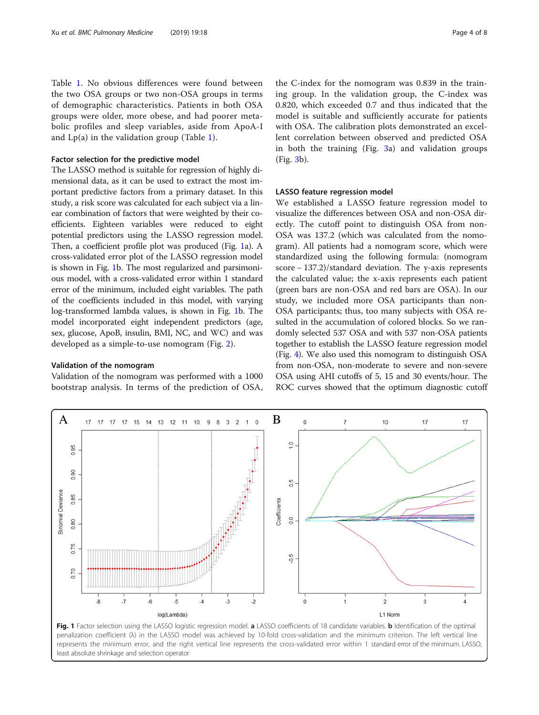Table [1](#page-2-0). No obvious differences were found between the two OSA groups or two non-OSA groups in terms of demographic characteristics. Patients in both OSA groups were older, more obese, and had poorer metabolic profiles and sleep variables, aside from ApoA-I and  $Lp(a)$  in the validation group (Table [1\)](#page-2-0).

#### Factor selection for the predictive model

The LASSO method is suitable for regression of highly dimensional data, as it can be used to extract the most important predictive factors from a primary dataset. In this study, a risk score was calculated for each subject via a linear combination of factors that were weighted by their coefficients. Eighteen variables were reduced to eight potential predictors using the LASSO regression model. Then, a coefficient profile plot was produced (Fig. 1a). A cross-validated error plot of the LASSO regression model is shown in Fig. 1b. The most regularized and parsimonious model, with a cross-validated error within 1 standard error of the minimum, included eight variables. The path of the coefficients included in this model, with varying log-transformed lambda values, is shown in Fig. 1b. The model incorporated eight independent predictors (age, sex, glucose, ApoB, insulin, BMI, NC, and WC) and was developed as a simple-to-use nomogram (Fig. [2\)](#page-4-0).

#### Validation of the nomogram

Validation of the nomogram was performed with a 1000 bootstrap analysis. In terms of the prediction of OSA,

the C-index for the nomogram was 0.839 in the training group. In the validation group, the C-index was 0.820, which exceeded 0.7 and thus indicated that the model is suitable and sufficiently accurate for patients with OSA. The calibration plots demonstrated an excellent correlation between observed and predicted OSA in both the training (Fig. [3](#page-4-0)a) and validation groups (Fig. [3b](#page-4-0)).

#### LASSO feature regression model

We established a LASSO feature regression model to visualize the differences between OSA and non-OSA directly. The cutoff point to distinguish OSA from non-OSA was 137.2 (which was calculated from the nomogram). All patients had a nomogram score, which were standardized using the following formula: (nomogram score − 137.2)/standard deviation. The y-axis represents the calculated value; the x-axis represents each patient (green bars are non-OSA and red bars are OSA). In our study, we included more OSA participants than non-OSA participants; thus, too many subjects with OSA resulted in the accumulation of colored blocks. So we randomly selected 537 OSA and with 537 non-OSA patients together to establish the LASSO feature regression model (Fig. [4](#page-5-0)). We also used this nomogram to distinguish OSA from non-OSA, non-moderate to severe and non-severe OSA using AHI cutoffs of 5, 15 and 30 events/hour. The ROC curves showed that the optimum diagnostic cutoff



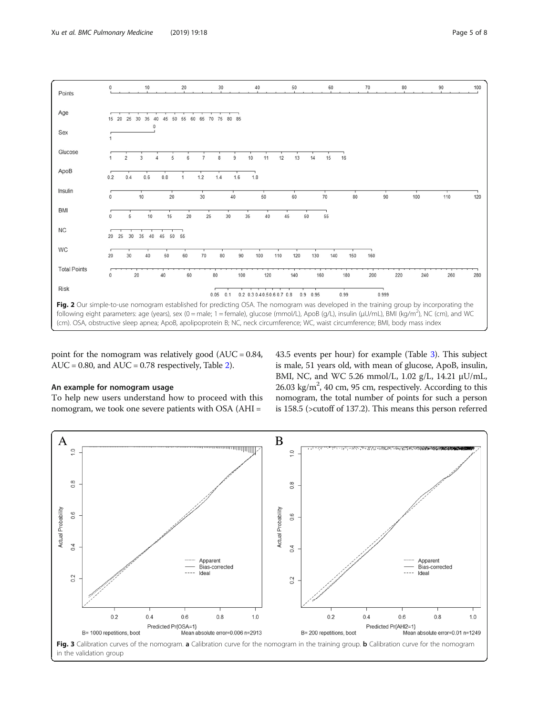<span id="page-4-0"></span>

point for the nomogram was relatively good (AUC = 0.84,  $AUC = 0.80$ , and  $AUC = 0.78$  respectively, Table [2\)](#page-5-0).

## An example for nomogram usage

To help new users understand how to proceed with this nomogram, we took one severe patients with OSA (AHI =

43.5 events per hour) for example (Table [3\)](#page-6-0). This subject is male, 51 years old, with mean of glucose, ApoB, insulin, BMI, NC, and WC 5.26 mmol/L, 1.02 g/L, 14.21 μU/mL,  $26.03 \text{ kg/m}^2$ , 40 cm, 95 cm, respectively. According to this nomogram, the total number of points for such a person is 158.5 (>cutoff of 137.2). This means this person referred

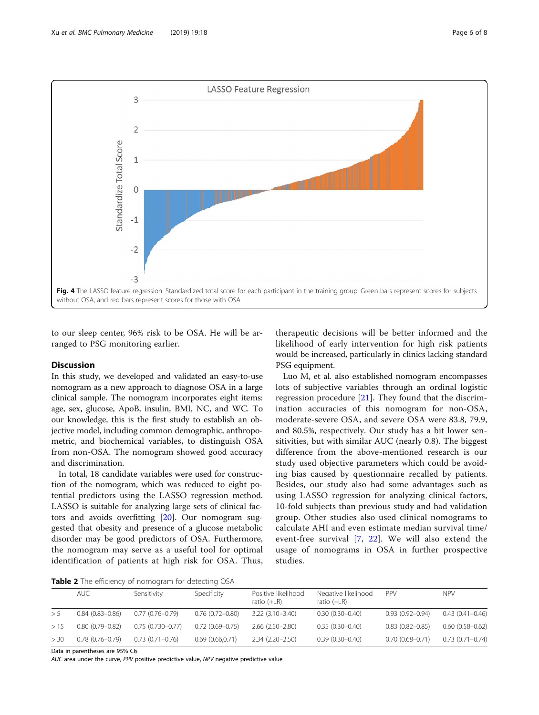<span id="page-5-0"></span>

to our sleep center, 96% risk to be OSA. He will be arranged to PSG monitoring earlier.

# **Discussion**

In this study, we developed and validated an easy-to-use nomogram as a new approach to diagnose OSA in a large clinical sample. The nomogram incorporates eight items: age, sex, glucose, ApoB, insulin, BMI, NC, and WC. To our knowledge, this is the first study to establish an objective model, including common demographic, anthropometric, and biochemical variables, to distinguish OSA from non-OSA. The nomogram showed good accuracy and discrimination.

In total, 18 candidate variables were used for construction of the nomogram, which was reduced to eight potential predictors using the LASSO regression method. LASSO is suitable for analyzing large sets of clinical factors and avoids overfitting [\[20\]](#page-7-0). Our nomogram suggested that obesity and presence of a glucose metabolic disorder may be good predictors of OSA. Furthermore, the nomogram may serve as a useful tool for optimal identification of patients at high risk for OSA. Thus,

therapeutic decisions will be better informed and the likelihood of early intervention for high risk patients would be increased, particularly in clinics lacking standard PSG equipment.

Luo M, et al. also established nomogram encompasses lots of subjective variables through an ordinal logistic regression procedure [[21\]](#page-7-0). They found that the discrimination accuracies of this nomogram for non-OSA, moderate-severe OSA, and severe OSA were 83.8, 79.9, and 80.5%, respectively. Our study has a bit lower sensitivities, but with similar AUC (nearly 0.8). The biggest difference from the above-mentioned research is our study used objective parameters which could be avoiding bias caused by questionnaire recalled by patients. Besides, our study also had some advantages such as using LASSO regression for analyzing clinical factors, 10-fold subjects than previous study and had validation group. Other studies also used clinical nomograms to calculate AHI and even estimate median survival time/ event-free survival [\[7,](#page-7-0) [22](#page-7-0)]. We will also extend the usage of nomograms in OSA in further prospective studies.

Table 2 The efficiency of nomogram for detecting OSA

|      | AUC-                | Sensitivity          | Specificity         | Positive likelihood<br>ratio $(+LR)$ | Negative likelihood<br>ratio (–LR) | PPV                 | <b>NPV</b>          |
|------|---------------------|----------------------|---------------------|--------------------------------------|------------------------------------|---------------------|---------------------|
| > 5  | $0.84(0.83 - 0.86)$ | $0.77(0.76 - 0.79)$  | $0.76(0.72 - 0.80)$ | $3.22(3.10-3.40)$                    | $0.30(0.30 - 0.40)$                | $0.93(0.92 - 0.94)$ | $0.43(0.41 - 0.46)$ |
| >15  | $0.80(0.79 - 0.82)$ | $0.75(0.730 - 0.77)$ | $0.72(0.69 - 0.75)$ | $2.66(2.50-2.80)$                    | $0.35(0.30 - 0.40)$                | $0.83(0.82 - 0.85)$ | $0.60(0.58 - 0.62)$ |
| > 30 | $0.78(0.76 - 0.79)$ | $0.73(0.71 - 0.76)$  | 0.69(0.66,0.71)     | $2.34(2.20 - 2.50)$                  | $0.39(0.30 - 0.40)$                | $0.70(0.68 - 0.71)$ | $0.73(0.71 - 0.74)$ |

Data in parentheses are 95% CIs

AUC area under the curve, PPV positive predictive value, NPV negative predictive value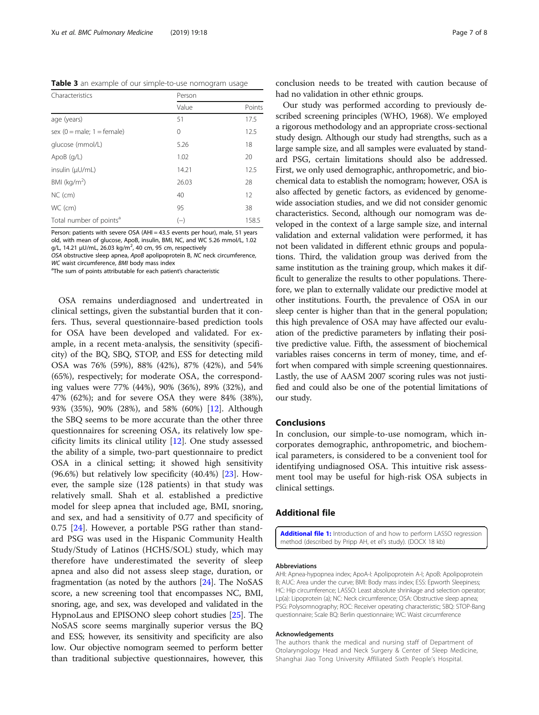<span id="page-6-0"></span>Table 3 an example of our simple-to-use nomogram usage

| Characteristics                     | Person |        |  |
|-------------------------------------|--------|--------|--|
|                                     | Value  | Points |  |
| age (years)                         | 51     | 17.5   |  |
| sex $(0 = male; 1 = female)$        | 0      | 12.5   |  |
| glucose (mmol/L)                    | 5.26   | 18     |  |
| ApoB (g/L)                          | 1.02   | 20     |  |
| insulin (µU/mL)                     | 14.21  | 12.5   |  |
| BMI ( $kg/m2$ )                     | 26.03  | 28     |  |
| NC (cm)                             | 40     | 12     |  |
| WC (cm)                             | 95     | 38     |  |
| Total number of points <sup>a</sup> | $(-)$  | 158.5  |  |

Person: patients with severe OSA (AHI = 43.5 events per hour), male, 51 years old, with mean of glucose, ApoB, insulin, BMI, NC, and WC 5.26 mmol/L, 1.02 g/L, 14.21 μU/mL, 26.03 kg/m<sup>2</sup>, 40 cm, 95 cm, respectively

OSA obstructive sleep apnea, ApoB apolipoprotein B, NC neck circumference, WC waist circumference, BMI body mass index

<sup>a</sup>The sum of points attributable for each patient's characteristic

OSA remains underdiagnosed and undertreated in clinical settings, given the substantial burden that it confers. Thus, several questionnaire-based prediction tools for OSA have been developed and validated. For example, in a recent meta-analysis, the sensitivity (specificity) of the BQ, SBQ, STOP, and ESS for detecting mild OSA was 76% (59%), 88% (42%), 87% (42%), and 54% (65%), respectively; for moderate OSA, the corresponding values were 77% (44%), 90% (36%), 89% (32%), and 47% (62%); and for severe OSA they were 84% (38%), 93% (35%), 90% (28%), and 58% (60%) [\[12\]](#page-7-0). Although the SBQ seems to be more accurate than the other three questionnaires for screening OSA, its relatively low specificity limits its clinical utility [[12\]](#page-7-0). One study assessed the ability of a simple, two-part questionnaire to predict OSA in a clinical setting; it showed high sensitivity (96.6%) but relatively low specificity (40.4%) [\[23](#page-7-0)]. However, the sample size (128 patients) in that study was relatively small. Shah et al. established a predictive model for sleep apnea that included age, BMI, snoring, and sex, and had a sensitivity of 0.77 and specificity of 0.75 [\[24](#page-7-0)]. However, a portable PSG rather than standard PSG was used in the Hispanic Community Health Study/Study of Latinos (HCHS/SOL) study, which may therefore have underestimated the severity of sleep apnea and also did not assess sleep stage, duration, or fragmentation (as noted by the authors [\[24](#page-7-0)]. The NoSAS score, a new screening tool that encompasses NC, BMI, snoring, age, and sex, was developed and validated in the HypnoLaus and EPISONO sleep cohort studies [\[25](#page-7-0)]. The NoSAS score seems marginally superior versus the BQ and ESS; however, its sensitivity and specificity are also low. Our objective nomogram seemed to perform better than traditional subjective questionnaires, however, this

conclusion needs to be treated with caution because of had no validation in other ethnic groups.

Our study was performed according to previously described screening principles (WHO, 1968). We employed a rigorous methodology and an appropriate cross-sectional study design. Although our study had strengths, such as a large sample size, and all samples were evaluated by standard PSG, certain limitations should also be addressed. First, we only used demographic, anthropometric, and biochemical data to establish the nomogram; however, OSA is also affected by genetic factors, as evidenced by genomewide association studies, and we did not consider genomic characteristics. Second, although our nomogram was developed in the context of a large sample size, and internal validation and external validation were performed, it has not been validated in different ethnic groups and populations. Third, the validation group was derived from the same institution as the training group, which makes it difficult to generalize the results to other populations. Therefore, we plan to externally validate our predictive model at other institutions. Fourth, the prevalence of OSA in our sleep center is higher than that in the general population; this high prevalence of OSA may have affected our evaluation of the predictive parameters by inflating their positive predictive value. Fifth, the assessment of biochemical variables raises concerns in term of money, time, and effort when compared with simple screening questionnaires. Lastly, the use of AASM 2007 scoring rules was not justified and could also be one of the potential limitations of our study.

## Conclusions

In conclusion, our simple-to-use nomogram, which incorporates demographic, anthropometric, and biochemical parameters, is considered to be a convenient tool for identifying undiagnosed OSA. This intuitive risk assessment tool may be useful for high-risk OSA subjects in clinical settings.

## Additional file

[Additional file 1:](https://doi.org/10.1186/s12890-019-0782-1) Introduction of and how to perform LASSO regression method (described by Pripp AH, et el's study). (DOCX 18 kb)

#### Abbreviations

AHI: Apnea-hypopnea index; ApoA-I: Apolipoprotein A-I; ApoB: Apolipoprotein B; AUC: Area under the curve; BMI: Body mass index; ESS: Epworth Sleepiness; HC: Hip circumference; LASSO: Least absolute shrinkage and selection operator; Lp(a): Lipoprotein (a); NC: Neck circumference; OSA: Obstructive sleep apnea; PSG: Polysomnography; ROC: Receiver operating characteristic; SBQ: STOP-Bang questionnaire; Scale BQ: Berlin questionnaire; WC: Waist circumference

#### Acknowledgements

The authors thank the medical and nursing staff of Department of Otolaryngology Head and Neck Surgery & Center of Sleep Medicine, Shanghai Jiao Tong University Affiliated Sixth People's Hospital.